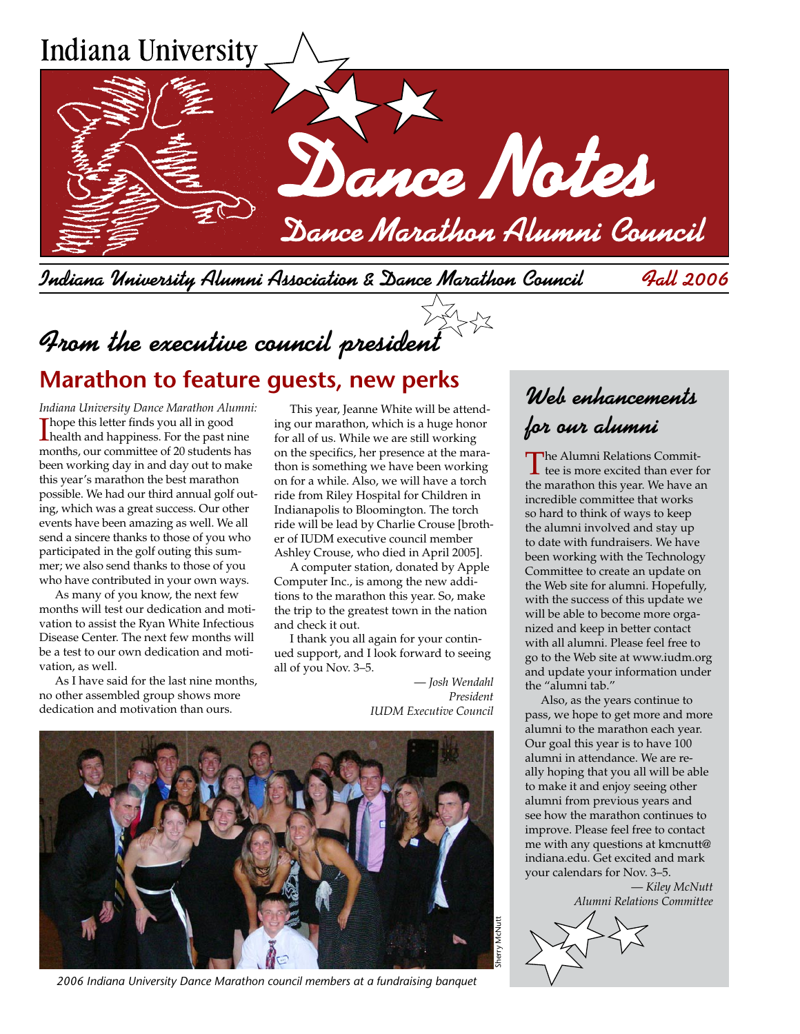

Indiana University Alumni Association & Dance Marathon Council Fall 2006

From the executive council president

# **Marathon to feature guests, new perks**

*Indiana University Dance Marathon Alumni:* I health and happiness. For the past nine Thope this letter finds you all in good months, our committee of 20 students has been working day in and day out to make this year's marathon the best marathon possible. We had our third annual golf outing, which was a great success. Our other events have been amazing as well. We all send a sincere thanks to those of you who participated in the golf outing this summer; we also send thanks to those of you who have contributed in your own ways.

As many of you know, the next few months will test our dedication and motivation to assist the Ryan White Infectious Disease Center. The next few months will be a test to our own dedication and motivation, as well.

As I have said for the last nine months, no other assembled group shows more dedication and motivation than ours.

This year, Jeanne White will be attending our marathon, which is a huge honor for all of us. While we are still working on the specifics, her presence at the marathon is something we have been working on for a while. Also, we will have a torch ride from Riley Hospital for Children in Indianapolis to Bloomington. The torch ride will be lead by Charlie Crouse [brother of IUDM executive council member Ashley Crouse, who died in April 2005].

A computer station, donated by Apple Computer Inc., is among the new additions to the marathon this year. So, make the trip to the greatest town in the nation and check it out.

I thank you all again for your continued support, and I look forward to seeing all of you Nov. 3–5.

> — *Josh Wendahl President*





*2006 Indiana University Dance Marathon council members at a fundraising banquet*

# Web enhancements for our alumni

The Alumni Relations Committee is more excited than ever for the marathon this year. We have an incredible committee that works so hard to think of ways to keep the alumni involved and stay up to date with fundraisers. We have been working with the Technology Committee to create an update on the Web site for alumni. Hopefully, with the success of this update we will be able to become more organized and keep in better contact with all alumni. Please feel free to go to the Web site at www.iudm.org and update your information under the "alumni tab."

Also, as the years continue to pass, we hope to get more and more alumni to the marathon each year. Our goal this year is to have 100 alumni in attendance. We are really hoping that you all will be able to make it and enjoy seeing other alumni from previous years and see how the marathon continues to improve. Please feel free to contact me with any questions at kmcnutt@ indiana.edu. Get excited and mark your calendars for Nov. 3–5.

— *Kiley McNutt Alumni Relations Committee*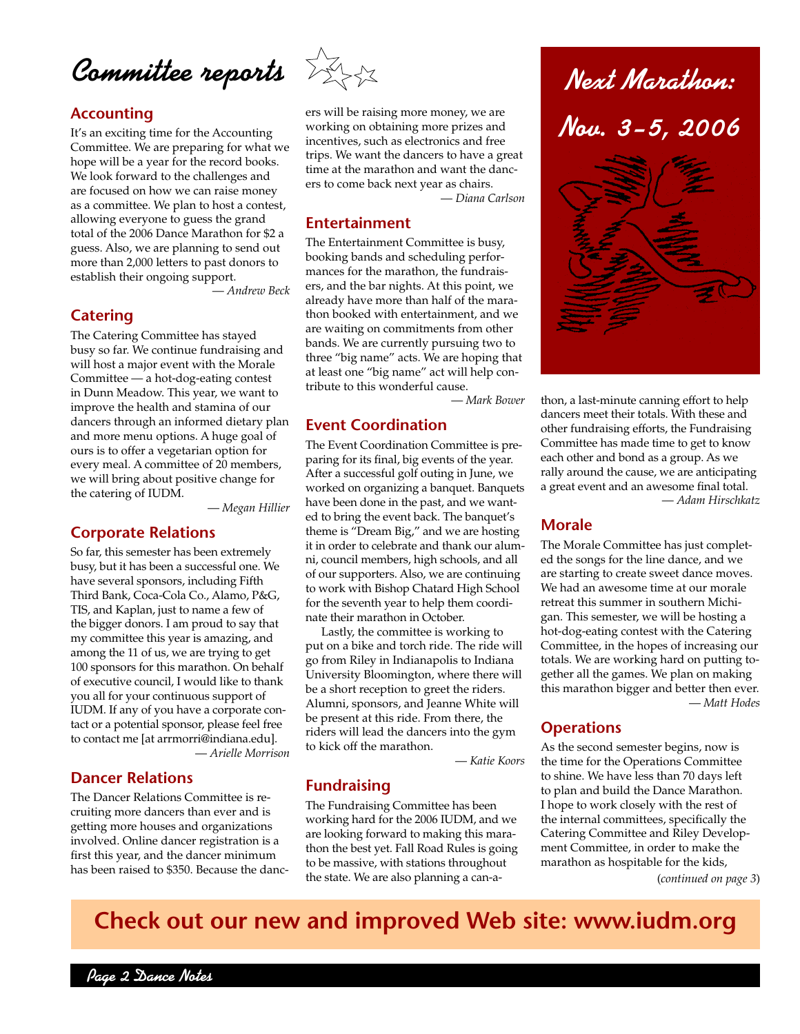

It's an exciting time for the Accounting Committee. We are preparing for what we hope will be a year for the record books. We look forward to the challenges and are focused on how we can raise money as a committee. We plan to host a contest, allowing everyone to guess the grand total of the 2006 Dance Marathon for \$2 a guess. Also, we are planning to send out more than 2,000 letters to past donors to establish their ongoing support.

— *Andrew Beck*

## **Catering**

The Catering Committee has stayed busy so far. We continue fundraising and will host a major event with the Morale Committee — a hot-dog-eating contest in Dunn Meadow. This year, we want to improve the health and stamina of our dancers through an informed dietary plan and more menu options. A huge goal of ours is to offer a vegetarian option for every meal. A committee of 20 members, we will bring about positive change for the catering of IUDM.

— *Megan Hillier*

# **Corporate Relations**

So far, this semester has been extremely busy, but it has been a successful one. We have several sponsors, including Fifth Third Bank, Coca-Cola Co., Alamo, P&G, TIS, and Kaplan, just to name a few of the bigger donors. I am proud to say that my committee this year is amazing, and among the 11 of us, we are trying to get 100 sponsors for this marathon. On behalf of executive council, I would like to thank you all for your continuous support of IUDM. If any of you have a corporate contact or a potential sponsor, please feel free to contact me [at arrmorri@indiana.edu]. — *Arielle Morrison*

# **Dancer Relations**

The Dancer Relations Committee is recruiting more dancers than ever and is getting more houses and organizations involved. Online dancer registration is a first this year, and the dancer minimum has been raised to \$350. Because the danc-



ers will be raising more money, we are working on obtaining more prizes and incentives, such as electronics and free trips. We want the dancers to have a great time at the marathon and want the dancers to come back next year as chairs.

— *Diana Carlson*

#### **Entertainment**

The Entertainment Committee is busy, booking bands and scheduling performances for the marathon, the fundraisers, and the bar nights. At this point, we already have more than half of the marathon booked with entertainment, and we are waiting on commitments from other bands. We are currently pursuing two to three "big name" acts. We are hoping that at least one "big name" act will help contribute to this wonderful cause.

— *Mark Bower*

# **Event Coordination**

The Event Coordination Committee is preparing for its final, big events of the year. After a successful golf outing in June, we worked on organizing a banquet. Banquets have been done in the past, and we wanted to bring the event back. The banquet's theme is "Dream Big," and we are hosting it in order to celebrate and thank our alumni, council members, high schools, and all of our supporters. Also, we are continuing to work with Bishop Chatard High School for the seventh year to help them coordinate their marathon in October.

Lastly, the committee is working to put on a bike and torch ride. The ride will go from Riley in Indianapolis to Indiana University Bloomington, where there will be a short reception to greet the riders. Alumni, sponsors, and Jeanne White will be present at this ride. From there, the riders will lead the dancers into the gym to kick off the marathon.

— *Katie Koors*

# **Fundraising**

The Fundraising Committee has been working hard for the 2006 IUDM, and we are looking forward to making this marathon the best yet. Fall Road Rules is going to be massive, with stations throughout the state. We are also planning a can-a-



thon, a last-minute canning effort to help dancers meet their totals. With these and other fundraising efforts, the Fundraising Committee has made time to get to know each other and bond as a group. As we rally around the cause, we are anticipating a great event and an awesome final total. — *Adam Hirschkatz*

## **Morale**

The Morale Committee has just completed the songs for the line dance, and we are starting to create sweet dance moves. We had an awesome time at our morale retreat this summer in southern Michigan. This semester, we will be hosting a hot-dog-eating contest with the Catering Committee, in the hopes of increasing our totals. We are working hard on putting together all the games. We plan on making this marathon bigger and better then ever. — *Matt Hodes*

## **Operations**

As the second semester begins, now is the time for the Operations Committee to shine. We have less than 70 days left to plan and build the Dance Marathon. I hope to work closely with the rest of the internal committees, specifically the Catering Committee and Riley Development Committee, in order to make the marathon as hospitable for the kids,

(*continued on page 3*)

# **Check out our new and improved Web site: www.iudm.org**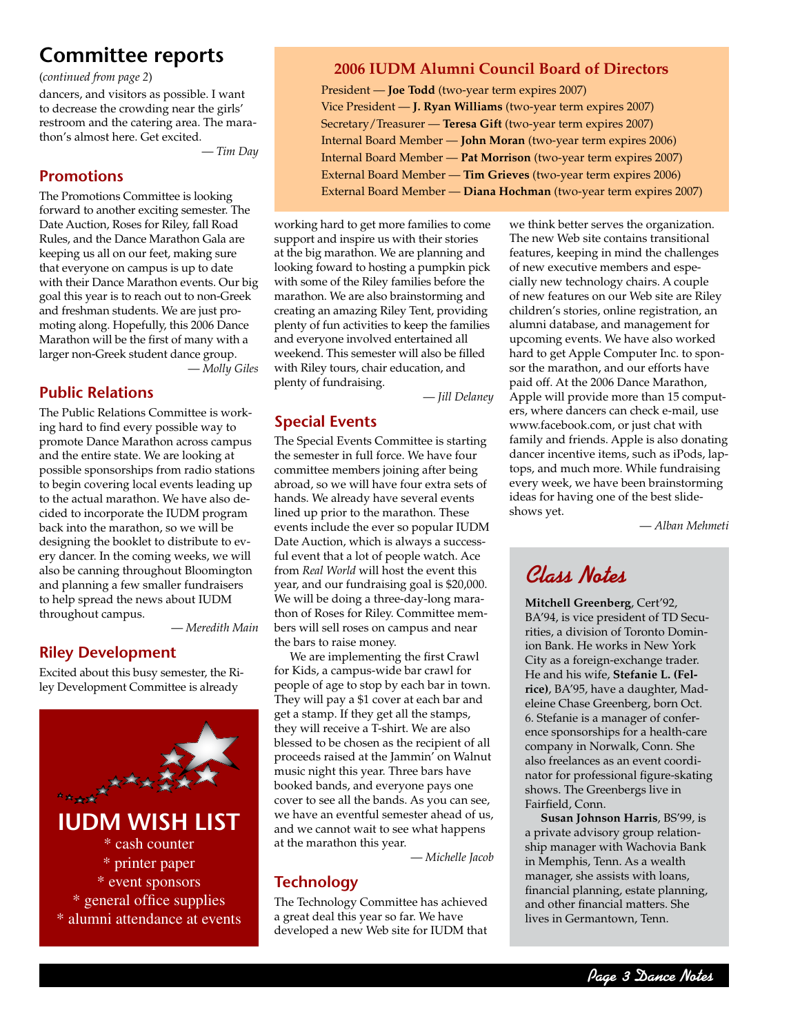# **Committee reports**

dancers, and visitors as possible. I want to decrease the crowding near the girls' restroom and the catering area. The marathon's almost here. Get excited.

— *Tim Day*

# **Promotions**

The Promotions Committee is looking forward to another exciting semester. The Date Auction, Roses for Riley, fall Road Rules, and the Dance Marathon Gala are keeping us all on our feet, making sure that everyone on campus is up to date with their Dance Marathon events. Our big goal this year is to reach out to non-Greek and freshman students. We are just promoting along. Hopefully, this 2006 Dance Marathon will be the first of many with a larger non-Greek student dance group.

— *Molly Giles*

# **Public Relations**

The Public Relations Committee is working hard to find every possible way to promote Dance Marathon across campus and the entire state. We are looking at possible sponsorships from radio stations to begin covering local events leading up to the actual marathon. We have also decided to incorporate the IUDM program back into the marathon, so we will be designing the booklet to distribute to every dancer. In the coming weeks, we will also be canning throughout Bloomington and planning a few smaller fundraisers to help spread the news about IUDM throughout campus.

— *Meredith Main*

# **Riley Development**

Excited about this busy semester, the Riley Development Committee is already



# (*continued from page 2*) **2006 IUDM Alumni Council Board of Directors**

President — **Joe Todd** (two-year term expires 2007) Vice President — **J. Ryan Williams** (two-year term expires 2007) Secretary/Treasurer — **Teresa Gift** (two-year term expires 2007) Internal Board Member — **John Moran** (two-year term expires 2006) Internal Board Member — **Pat Morrison** (two-year term expires 2007) External Board Member — **Tim Grieves** (two-year term expires 2006) External Board Member — **Diana Hochman** (two-year term expires 2007)

working hard to get more families to come support and inspire us with their stories at the big marathon. We are planning and looking foward to hosting a pumpkin pick with some of the Riley families before the marathon. We are also brainstorming and creating an amazing Riley Tent, providing plenty of fun activities to keep the families and everyone involved entertained all weekend. This semester will also be filled with Riley tours, chair education, and plenty of fundraising.

— *Jill Delaney*

# **Special Events**

The Special Events Committee is starting the semester in full force. We have four committee members joining after being abroad, so we will have four extra sets of hands. We already have several events lined up prior to the marathon. These events include the ever so popular IUDM Date Auction, which is always a successful event that a lot of people watch. Ace from *Real World* will host the event this year, and our fundraising goal is \$20,000. We will be doing a three-day-long marathon of Roses for Riley. Committee members will sell roses on campus and near the bars to raise money.

We are implementing the first Crawl for Kids, a campus-wide bar crawl for people of age to stop by each bar in town. They will pay a \$1 cover at each bar and get a stamp. If they get all the stamps, they will receive a T-shirt. We are also blessed to be chosen as the recipient of all proceeds raised at the Jammin' on Walnut music night this year. Three bars have booked bands, and everyone pays one cover to see all the bands. As you can see, we have an eventful semester ahead of us, and we cannot wait to see what happens at the marathon this year.

— *Michelle Jacob*

# **Technology**

The Technology Committee has achieved a great deal this year so far. We have developed a new Web site for IUDM that

we think better serves the organization. The new Web site contains transitional features, keeping in mind the challenges of new executive members and especially new technology chairs. A couple of new features on our Web site are Riley children's stories, online registration, an alumni database, and management for upcoming events. We have also worked hard to get Apple Computer Inc. to sponsor the marathon, and our efforts have paid off. At the 2006 Dance Marathon, Apple will provide more than 15 computers, where dancers can check e-mail, use www.facebook.com, or just chat with family and friends. Apple is also donating dancer incentive items, such as iPods, laptops, and much more. While fundraising every week, we have been brainstorming ideas for having one of the best slideshows yet.

— *Alban Mehmeti*

# Class Notes

**Mitchell Greenberg**, Cert'92, BA'94, is vice president of TD Securities, a division of Toronto Dominion Bank. He works in New York City as a foreign-exchange trader. He and his wife, **Stefanie L. (Felrice)**, BA'95, have a daughter, Madeleine Chase Greenberg, born Oct. 6. Stefanie is a manager of conference sponsorships for a health-care company in Norwalk, Conn. She also freelances as an event coordinator for professional figure-skating shows. The Greenbergs live in Fairfield, Conn.

**Susan Johnson Harris**, BS'99, is a private advisory group relationship manager with Wachovia Bank in Memphis, Tenn. As a wealth manager, she assists with loans, financial planning, estate planning, and other financial matters. She lives in Germantown, Tenn.